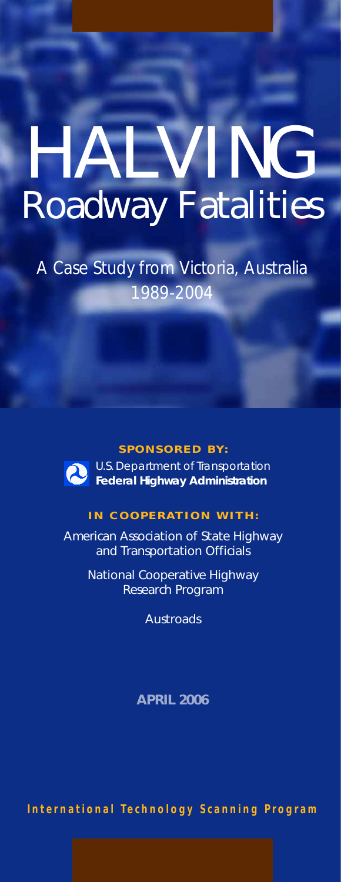# HALVING Roadway Fatalities

*A Case Study from Victoria, Australia 1989-2004*

#### **SPONSORED BY:**

U.S. Department of Transportation **Federal Highway Administration**

#### **IN COOPERATION WITH:**

American Association of State Highway and Transportation Officials

> National Cooperative Highway Research Program

> > **Austroads**

**APRIL 2006**

**International Technology Scanning Program**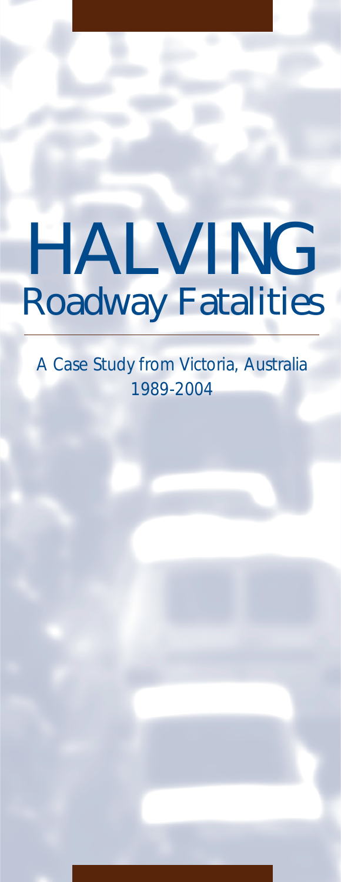# HALVING Roadway Fatalities

*A Case Study from Victoria, Australia 1989-2004*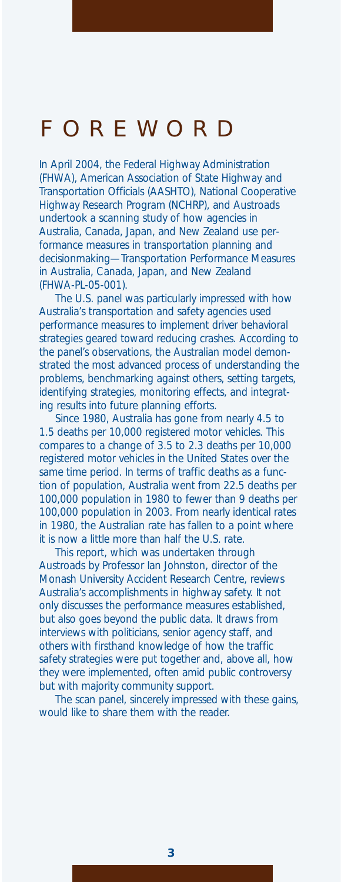### FOREWORD

*In April 2004, the Federal Highway Administration (FHWA), American Association of State Highway and Transportation Officials (AASHTO), National Cooperative Highway Research Program (NCHRP), and Austroads undertook a scanning study of how agencies in Australia, Canada, Japan, and New Zealand use performance measures in transportation planning and decisionmaking—*Transportation Performance Measures in Australia, Canada, Japan, and New Zealand (FHWA-PL-05-001).

*The U.S. panel was particularly impressed with how Australia's transportation and safety agencies used performance measures to implement driver behavioral strategies geared toward reducing crashes. According to the panel's observations, the Australian model demonstrated the most advanced process of understanding the problems, benchmarking against others, setting targets, identifying strategies, monitoring effects, and integrating results into future planning efforts.* 

*Since 1980, Australia has gone from nearly 4.5 to 1.5 deaths per 10,000 registered motor vehicles. This compares to a change of 3.5 to 2.3 deaths per 10,000 registered motor vehicles in the United States over the same time period. In terms of traffic deaths as a function of population, Australia went from 22.5 deaths per 100,000 population in 1980 to fewer than 9 deaths per 100,000 population in 2003. From nearly identical rates in 1980, the Australian rate has fallen to a point where it is now a little more than half the U.S. rate.*

*This report, which was undertaken through Austroads by Professor Ian Johnston, director of the Monash University Accident Research Centre, reviews Australia's accomplishments in highway safety. It not only discusses the performance measures established, but also goes beyond the public data. It draws from interviews with politicians, senior agency staff, and others with firsthand knowledge of how the traffic safety strategies were put together and, above all, how they were implemented, often amid public controversy but with majority community support.*

*The scan panel, sincerely impressed with these gains, would like to share them with the reader.*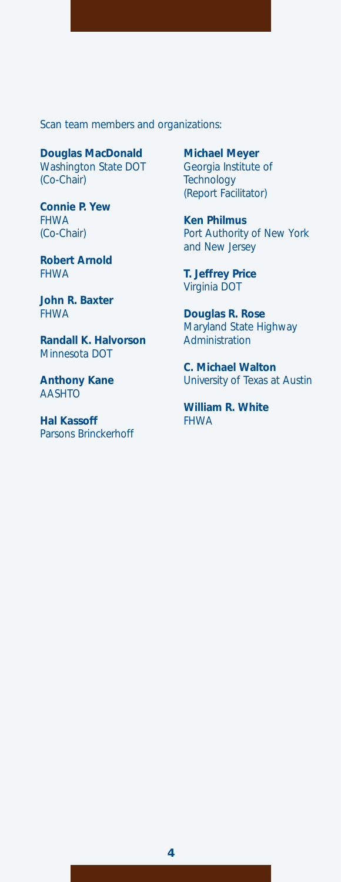*Scan team members and organizations:*

*Douglas MacDonald Washington State DOT (Co-Chair)*

*Connie P. Yew FHWA (Co-Chair)*

*Robert Arnold FHWA*

*John R. Baxter FHWA*

*Randall K. Halvorson Minnesota DOT*

*Anthony Kane AASHTO*

*Hal Kassoff Parsons Brinckerhoff* *Michael Meyer Georgia Institute of Technology (Report Facilitator)*

*Ken Philmus Port Authority of New York and New Jersey*

*T. Jeffrey Price Virginia DOT*

*Douglas R. Rose Maryland State Highway Administration*

*C. Michael Walton University of Texas at Austin*

*William R. White FHWA*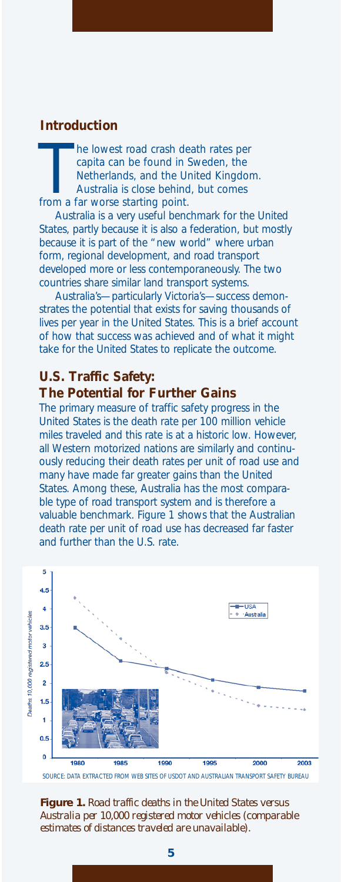#### **Introduction**

he lowest road crash de<br>capita can be found in !<br>Netherlands, and the Un<br>Australia is close behind<br>from a far worse starting point. he lowest road crash death rates per capita can be found in Sweden, the Netherlands, and the United Kingdom. Australia is close behind, but comes

Australia is a very useful benchmark for the United States, partly because it is also a federation, but mostly because it is part of the "new world" where urban form, regional development, and road transport developed more or less contemporaneously. The two countries share similar land transport systems.

Australia's—particularly Victoria's—success demonstrates the potential that exists for saving thousands of lives per year in the United States. This is a brief account of how that success was achieved and of what it might take for the United States to replicate the outcome.

#### **U.S. Traffic Safety: The Potential for Further Gains**

The primary measure of traffic safety progress in the United States is the death rate per 100 million vehicle miles traveled and this rate is at a historic low. However, all Western motorized nations are similarly and continuously reducing their death rates per unit of road use and many have made far greater gains than the United States. Among these, Australia has the most comparable type of road transport system and is therefore a valuable benchmark. Figure 1 shows that the Australian death rate per unit of road use has decreased far faster and further than the U.S. rate.



SOURCE: DATA EXTRACTED FROM WEB SITES OF USDOT AND AUSTRALIAN TRANSPORT SAFETY BUREAU

**Figure 1.** *Road traffic deaths in the United States versus Australia per 10,000 registered motor vehicles (comparable estimates of distances traveled are unavailable).*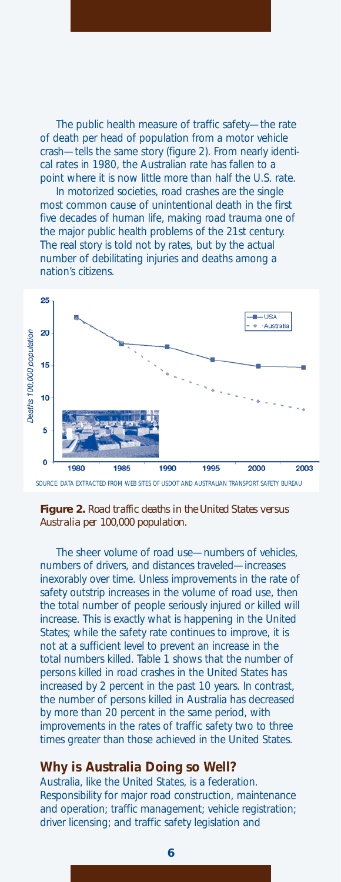The public health measure of traffic safety—the rate of death per head of population from a motor vehicle crash—tells the same story (figure 2). From nearly identical rates in 1980, the Australian rate has fallen to a point where it is now little more than half the U.S. rate.

In motorized societies, road crashes are the single most common cause of unintentional death in the first five decades of human life, making road trauma one of the major public health problems of the 21st century. The real story is told not by rates, but by the actual number of debilitating injuries and deaths among a nation's citizens.



SOURCE: DATA EXTRACTED FROM WEB SITES OF USDOT AND AUSTRALIAN TRANSPORT SAFETY BUREAU

#### **Figure 2.** *Road traffic deaths in the United States versus Australia per 100,000 population.*

The sheer volume of road use—numbers of vehicles, numbers of drivers, and distances traveled—increases inexorably over time. Unless improvements in the rate of safety outstrip increases in the volume of road use, then the total number of people seriously injured or killed will increase. This is exactly what is happening in the United States; while the safety rate continues to improve, it is not at a sufficient level to prevent an increase in the total numbers killed. Table 1 shows that the number of persons killed in road crashes in the United States has increased by 2 percent in the past 10 years. In contrast, the number of persons killed in Australia has decreased by more than 20 percent in the same period, with improvements in the rates of traffic safety two to three times greater than those achieved in the United States.

#### **Why is Australia Doing so Well?**

Australia, like the United States, is a federation. Responsibility for major road construction, maintenance and operation; traffic management; vehicle registration; driver licensing; and traffic safety legislation and

**6**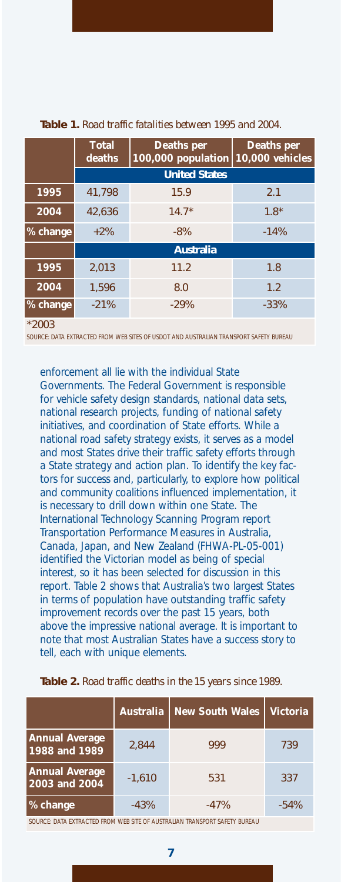|          | <b>Total</b><br>deaths | <b>Deaths per</b><br>100,000 population | <b>Deaths per</b><br><b>10,000 vehicles</b> |  |  |
|----------|------------------------|-----------------------------------------|---------------------------------------------|--|--|
|          | <b>United States</b>   |                                         |                                             |  |  |
| 1995     | 41.798                 | 15.9                                    | 2.1                                         |  |  |
| 2004     | 42.636                 | $14.7*$                                 | $1.8*$                                      |  |  |
| % change | $+2\%$                 | $-8%$                                   | $-14%$                                      |  |  |
|          | <b>Australia</b>       |                                         |                                             |  |  |
| 1995     | 2.013                  | 11.2                                    | 1.8                                         |  |  |
| 2004     | 1.596                  | 8.0                                     | 1.2                                         |  |  |
| % change | $-21%$                 | $-29%$                                  | $-33%$                                      |  |  |

#### **Table 1.** *Road traffic fatalities between 1995 and 2004.*

\*2003

SOURCE: DATA EXTRACTED FROM WEB SITES OF USDOT AND AUSTRALIAN TRANSPORT SAFETY BUREAU

enforcement all lie with the individual State Governments. The Federal Government is responsible for vehicle safety design standards, national data sets, national research projects, funding of national safety initiatives, and coordination of State efforts. While a national road safety strategy exists, it serves as a model and most States drive their traffic safety efforts through a State strategy and action plan. To identify the key factors for success and, particularly, to explore how political and community coalitions influenced implementation, it is necessary to drill down within one State. The International Technology Scanning Program report *Transportation Performance Measures in Australia, Canada, Japan, and New Zealand* (FHWA-PL-05-001) identified the Victorian model as being of special interest, so it has been selected for discussion in this report. Table 2 shows that Australia's two largest States in terms of population have outstanding traffic safety improvement records over the past 15 years, both above the impressive national average. It is important to note that most Australian States have a success story to tell, each with unique elements.

|                                        | <b>Australia</b> | <b>New South Wales</b> | <b>Victoria</b> |
|----------------------------------------|------------------|------------------------|-----------------|
| <b>Annual Average</b><br>1988 and 1989 | 2,844            | 999                    | 739             |
| <b>Annual Average</b><br>2003 and 2004 | $-1,610$         | 531                    | 337             |
| % change                               | $-43%$           | $-47%$                 | $-54%$          |

#### **Table 2.** *Road traffic deaths in the 15 years since 1989.*

SOURCE: DATA EXTRACTED FROM WEB SITE OF AUSTRALIAN TRANSPORT SAFETY BUREAU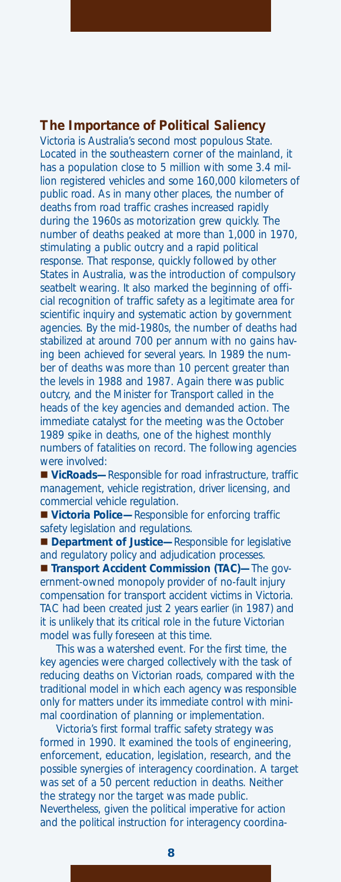#### **The Importance of Political Saliency**

Victoria is Australia's second most populous State. Located in the southeastern corner of the mainland, it has a population close to 5 million with some 3.4 million registered vehicles and some 160,000 kilometers of public road. As in many other places, the number of deaths from road traffic crashes increased rapidly during the 1960s as motorization grew quickly. The number of deaths peaked at more than 1,000 in 1970, stimulating a public outcry and a rapid political response. That response, quickly followed by other States in Australia, was the introduction of compulsory seatbelt wearing. It also marked the beginning of official recognition of traffic safety as a legitimate area for scientific inquiry and systematic action by government agencies. By the mid-1980s, the number of deaths had stabilized at around 700 per annum with no gains having been achieved for several years. In 1989 the number of deaths was more than 10 percent greater than the levels in 1988 and 1987. Again there was public outcry, and the Minister for Transport called in the heads of the key agencies and demanded action. The immediate catalyst for the meeting was the October 1989 spike in deaths, one of the highest monthly numbers of fatalities on record. The following agencies were involved:

 **VicRoads—**Responsible for road infrastructure, traffic management, vehicle registration, driver licensing, and commercial vehicle regulation.

■ Victoria Police—Responsible for enforcing traffic safety legislation and regulations.

**Department of Justice—**Responsible for legislative and regulatory policy and adjudication processes.

**Transport Accident Commission (TAC)—The gov**ernment-owned monopoly provider of no-fault injury compensation for transport accident victims in Victoria. TAC had been created just 2 years earlier (in 1987) and it is unlikely that its critical role in the future Victorian model was fully foreseen at this time.

This was a watershed event. For the first time, the key agencies were charged collectively with the task of reducing deaths on Victorian roads, compared with the traditional model in which each agency was responsible only for matters under its immediate control with minimal coordination of planning or implementation.

Victoria's first formal traffic safety strategy was formed in 1990. It examined the tools of engineering, enforcement, education, legislation, research, and the possible synergies of interagency coordination. A target was set of a 50 percent reduction in deaths. Neither the strategy nor the target was made public. Nevertheless, given the political imperative for action and the political instruction for interagency coordina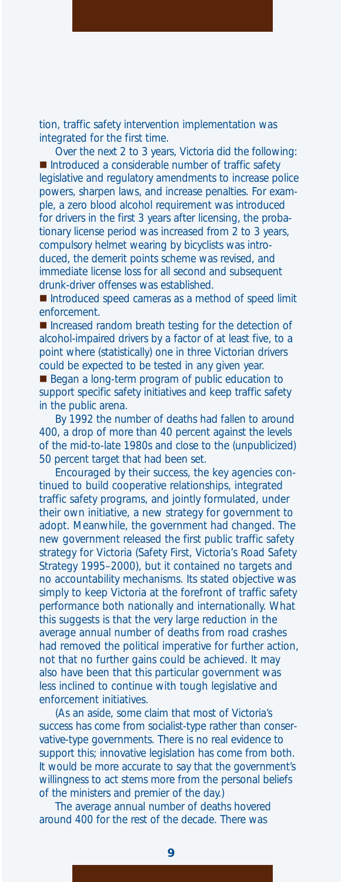tion, traffic safety intervention implementation was integrated for the first time.

Over the next 2 to 3 years, Victoria did the following: Introduced a considerable number of traffic safety legislative and regulatory amendments to increase police powers, sharpen laws, and increase penalties. For example, a zero blood alcohol requirement was introduced for drivers in the first 3 years after licensing, the probationary license period was increased from 2 to 3 years, compulsory helmet wearing by bicyclists was introduced, the demerit points scheme was revised, and immediate license loss for all second and subsequent drunk-driver offenses was established.

■ Introduced speed cameras as a method of speed limit enforcement.

■ Increased random breath testing for the detection of alcohol-impaired drivers by a factor of at least five, to a point where (statistically) one in three Victorian drivers could be expected to be tested in any given year.

Began a long-term program of public education to support specific safety initiatives and keep traffic safety in the public arena.

By 1992 the number of deaths had fallen to around 400, a drop of more than 40 percent against the levels of the mid-to-late 1980s and close to the (unpublicized) 50 percent target that had been set.

Encouraged by their success, the key agencies continued to build cooperative relationships, integrated traffic safety programs, and jointly formulated, under their own initiative, a new strategy for government to adopt. Meanwhile, the government had changed. The new government released the first public traffic safety strategy for Victoria *(Safety First, Victoria's Road Safety Strategy 1995–2000)*, but it contained no targets and no accountability mechanisms. Its stated objective was simply to keep Victoria at the forefront of traffic safety performance both nationally and internationally. What this suggests is that the very large reduction in the average annual number of deaths from road crashes had removed the political imperative for further action, not that no further gains could be achieved. It may also have been that this particular government was less inclined to continue with tough legislative and enforcement initiatives.

(As an aside, some claim that most of Victoria's success has come from socialist-type rather than conservative-type governments. There is no real evidence to support this; innovative legislation has come from both. It would be more accurate to say that the government's willingness to act stems more from the personal beliefs of the ministers and premier of the day.)

**9**

The average annual number of deaths hovered around 400 for the rest of the decade. There was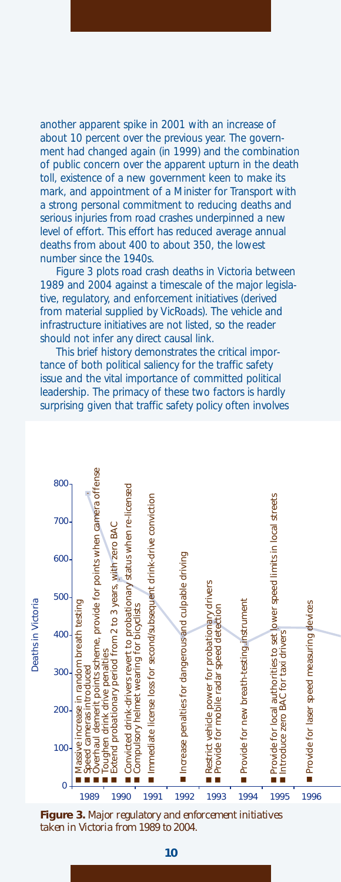another apparent spike in 2001 with an increase of about 10 percent over the previous year. The government had changed again (in 1999) and the combination of public concern over the apparent upturn in the death toll, existence of a new government keen to make its mark, and appointment of a Minister for Transport with a strong personal commitment to reducing deaths and serious injuries from road crashes underpinned a new level of effort. This effort has reduced average annual deaths from about 400 to about 350, the lowest number since the 1940s.

Figure 3 plots road crash deaths in Victoria between 1989 and 2004 against a timescale of the major legislative, regulatory, and enforcement initiatives (derived from material supplied by VicRoads). The vehicle and infrastructure initiatives are not listed, so the reader should not infer any direct causal link.

This brief history demonstrates the critical importance of both political saliency for the traffic safety issue and the vital importance of committed political leadership. The primacy of these two factors is hardly surprising given that traffic safety policy often involves



**Figure 3.** *Major regulatory and enforcement initiatives taken in Victoria from 1989 to 2004.*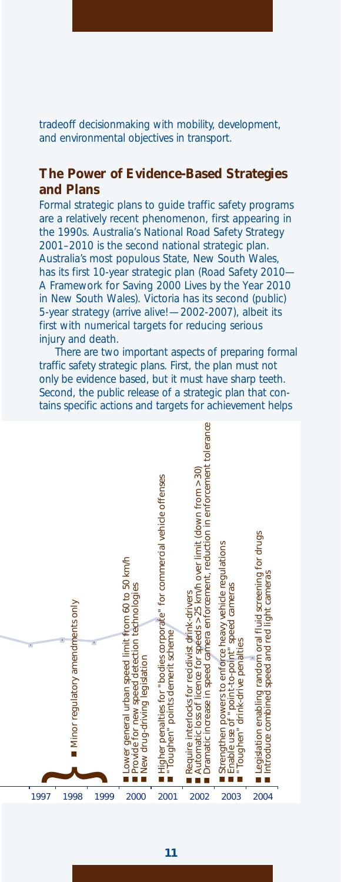tradeoff decisionmaking with mobility, development, and environmental objectives in transport.

#### **The Power of Evidence-Based Strategies and Plans**

Formal strategic plans to guide traffic safety programs are a relatively recent phenomenon, first appearing in the 1990s. *Australia's National Road Safety Strategy 2001–2010* is the second national strategic plan. Australia's most populous State, New South Wales, has its first 10-year strategic plan *(Road Safety 2010— A Framework for Saving 2000 Lives by the Year 2010 in New South Wales).* Victoria has its second (public) 5-year strategy *(arrive alive!—2002-2007),* albeit its first with numerical targets for reducing serious injury and death.

There are two important aspects of preparing formal traffic safety strategic plans. First, the plan must not only be evidence based, but it must have sharp teeth. Second, the public release of a strategic plan that contains specific actions and targets for achievement helps

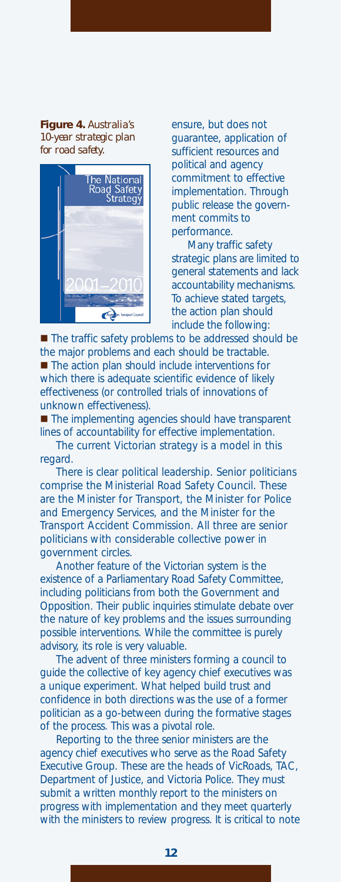**Figure 4.** *Australia's 10-year strategic plan for road safety.*



ensure, but does not guarantee, application of sufficient resources and political and agency commitment to effective implementation. Through public release the government commits to performance.

Many traffic safety strategic plans are limited to general statements and lack accountability mechanisms. To achieve stated targets, the action plan should include the following:

■ The traffic safety problems to be addressed should be the major problems and each should be tractable. ■ The action plan should include interventions for which there is adequate scientific evidence of likely effectiveness (or controlled trials of innovations of unknown effectiveness).

■ The implementing agencies should have transparent lines of accountability for effective implementation.

The current Victorian strategy is a model in this regard.

There is clear political leadership. Senior politicians comprise the Ministerial Road Safety Council. These are the Minister for Transport, the Minister for Police and Emergency Services, and the Minister for the Transport Accident Commission. All three are senior politicians with considerable collective power in government circles.

Another feature of the Victorian system is the existence of a Parliamentary Road Safety Committee, including politicians from both the Government and Opposition. Their public inquiries stimulate debate over the nature of key problems and the issues surrounding possible interventions. While the committee is purely advisory, its role is very valuable.

The advent of three ministers forming a council to guide the collective of key agency chief executives was a unique experiment. What helped build trust and confidence in both directions was the use of a former politician as a go-between during the formative stages of the process. This was a pivotal role.

Reporting to the three senior ministers are the agency chief executives who serve as the Road Safety Executive Group. These are the heads of VicRoads, TAC, Department of Justice, and Victoria Police. They must submit a written monthly report to the ministers on progress with implementation and they meet quarterly with the ministers to review progress. It is critical to note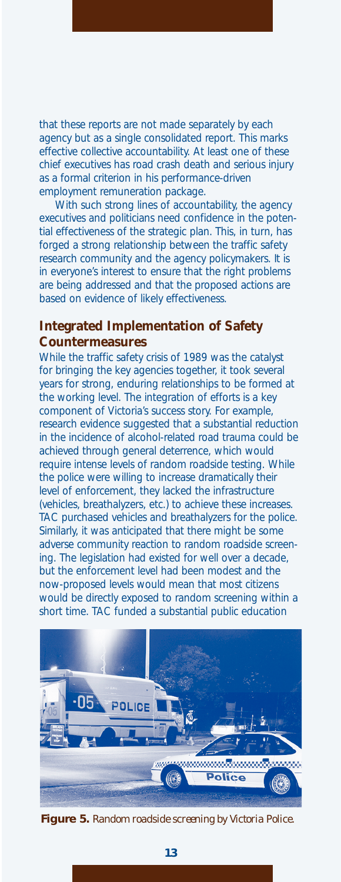that these reports are not made separately by each agency but as a single consolidated report. This marks effective collective accountability. At least one of these chief executives has road crash death and serious injury as a formal criterion in his performance-driven employment remuneration package.

With such strong lines of accountability, the agency executives and politicians need confidence in the potential effectiveness of the strategic plan. This, in turn, has forged a strong relationship between the traffic safety research community and the agency policymakers. It is in everyone's interest to ensure that the right problems are being addressed and that the proposed actions are based on evidence of likely effectiveness.

#### **Integrated Implementation of Safety Countermeasures**

While the traffic safety crisis of 1989 was the catalyst for bringing the key agencies together, it took several years for strong, enduring relationships to be formed at the working level. The integration of efforts is a key component of Victoria's success story. For example, research evidence suggested that a substantial reduction in the incidence of alcohol-related road trauma could be achieved through general deterrence, which would require intense levels of random roadside testing. While the police were willing to increase dramatically their level of enforcement, they lacked the infrastructure (vehicles, breathalyzers, etc.) to achieve these increases. TAC purchased vehicles and breathalyzers for the police. Similarly, it was anticipated that there might be some adverse community reaction to random roadside screening. The legislation had existed for well over a decade, but the enforcement level had been modest and the now-proposed levels would mean that most citizens would be directly exposed to random screening within a short time. TAC funded a substantial public education



**Figure 5.** *Random roadside screening by Victoria Police.*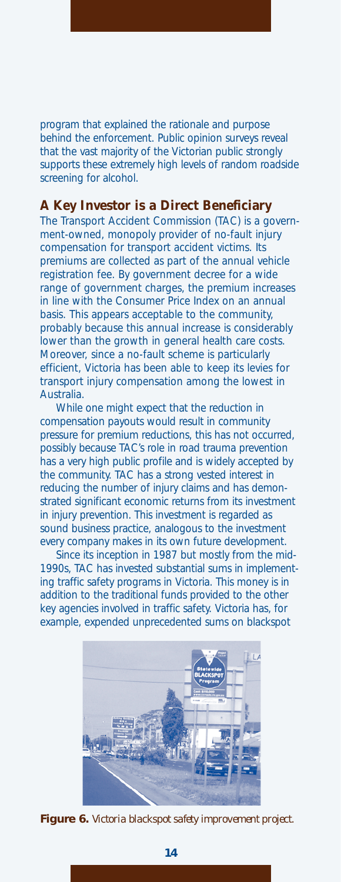program that explained the rationale and purpose behind the enforcement. Public opinion surveys reveal that the vast majority of the Victorian public strongly supports these extremely high levels of random roadside screening for alcohol.

#### **A Key Investor is a Direct Beneficiary**

The Transport Accident Commission (TAC) is a government-owned, monopoly provider of no-fault injury compensation for transport accident victims. Its premiums are collected as part of the annual vehicle registration fee. By government decree for a wide range of government charges, the premium increases in line with the Consumer Price Index on an annual basis. This appears acceptable to the community, probably because this annual increase is considerably lower than the growth in general health care costs. Moreover, since a no-fault scheme is particularly efficient, Victoria has been able to keep its levies for transport injury compensation among the lowest in Australia.

While one might expect that the reduction in compensation payouts would result in community pressure for premium reductions, this has not occurred, possibly because TAC's role in road trauma prevention has a very high public profile and is widely accepted by the community. TAC has a strong vested interest in reducing the number of injury claims and has demonstrated significant economic returns from its investment in injury prevention. This investment is regarded as sound business practice, analogous to the investment every company makes in its own future development.

Since its inception in 1987 but mostly from the mid-1990s, TAC has invested substantial sums in implementing traffic safety programs in Victoria. This money is in addition to the traditional funds provided to the other key agencies involved in traffic safety. Victoria has, for example, expended unprecedented sums on blackspot



**Figure 6.** *Victoria blackspot safety improvement project.*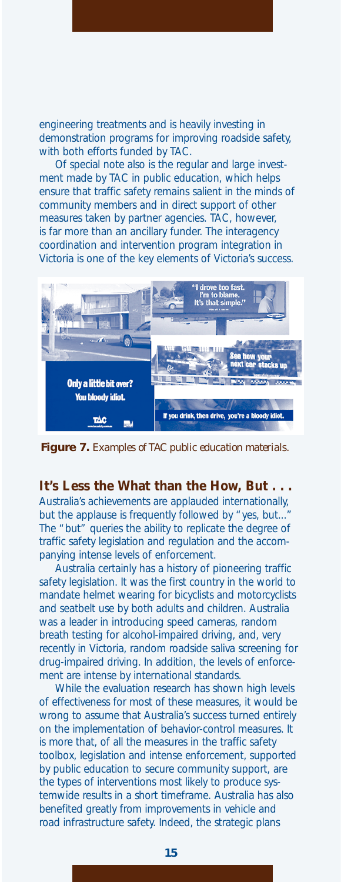engineering treatments and is heavily investing in demonstration programs for improving roadside safety, with both efforts funded by TAC.

Of special note also is the regular and large investment made by TAC in public education, which helps ensure that traffic safety remains salient in the minds of community members and in direct support of other measures taken by partner agencies. TAC, however, is far more than an ancillary funder. The interagency coordination and intervention program integration in Victoria is one of the key elements of Victoria's success.



**Figure 7.** *Examples of TAC public education materials.*

**It's Less the What than the How, But . . .** 

Australia's achievements are applauded internationally, but the applause is frequently followed by "yes, but... The "but" queries the ability to replicate the degree of traffic safety legislation and regulation and the accompanying intense levels of enforcement.

Australia certainly has a history of pioneering traffic safety legislation. It was the first country in the world to mandate helmet wearing for bicyclists and motorcyclists and seatbelt use by both adults and children. Australia was a leader in introducing speed cameras, random breath testing for alcohol-impaired driving, and, very recently in Victoria, random roadside saliva screening for drug-impaired driving. In addition, the levels of enforcement are intense by international standards.

While the evaluation research has shown high levels of effectiveness for most of these measures, it would be wrong to assume that Australia's success turned entirely on the implementation of behavior-control measures. It is more that, of all the measures in the traffic safety toolbox, legislation and intense enforcement, supported by public education to secure community support, are the types of interventions most likely to produce systemwide results in a short timeframe. Australia has also benefited greatly from improvements in vehicle and road infrastructure safety. Indeed, the strategic plans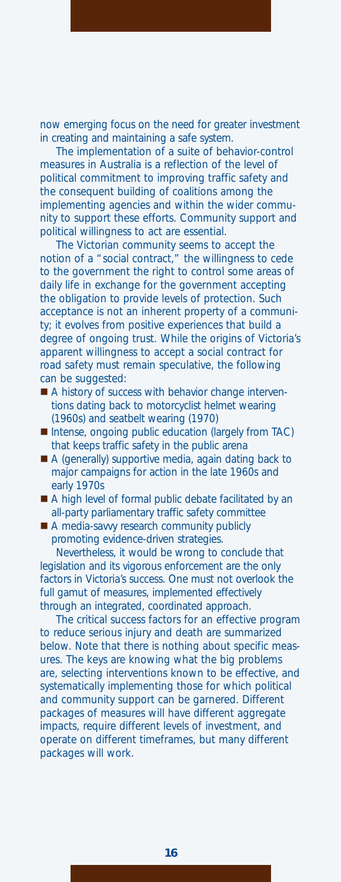now emerging focus on the need for greater investment in creating and maintaining a safe system.

The implementation of a suite of behavior-control measures in Australia is a reflection of the level of political commitment to improving traffic safety and the consequent building of coalitions among the implementing agencies and within the wider community to support these efforts. Community support and political willingness to act are essential.

The Victorian community seems to accept the notion of a "social contract," the willingness to cede to the government the right to control some areas of daily life in exchange for the government accepting the obligation to provide levels of protection. Such acceptance is not an inherent property of a community; it evolves from positive experiences that build a degree of ongoing trust. While the origins of Victoria's apparent willingness to accept a social contract for road safety must remain speculative, the following can be suggested:

- A history of success with behavior change interventions dating back to motorcyclist helmet wearing (1960s) and seatbelt wearing (1970)
- Intense, ongoing public education (largely from TAC) that keeps traffic safety in the public arena
- A (generally) supportive media, again dating back to major campaigns for action in the late 1960s and early 1970s
- A high level of formal public debate facilitated by an all-party parliamentary traffic safety committee
- A media-savvy research community publicly promoting evidence-driven strategies.

Nevertheless, it would be wrong to conclude that legislation and its vigorous enforcement are the only factors in Victoria's success. One must not overlook the full gamut of measures, implemented effectively through an integrated, coordinated approach.

The critical success factors for an effective program to reduce serious injury and death are summarized below. Note that there is nothing about specific measures. The keys are knowing what the big problems are, selecting interventions known to be effective, and systematically implementing those for which political and community support can be garnered. Different packages of measures will have different aggregate impacts, require different levels of investment, and operate on different timeframes, but many different packages will work.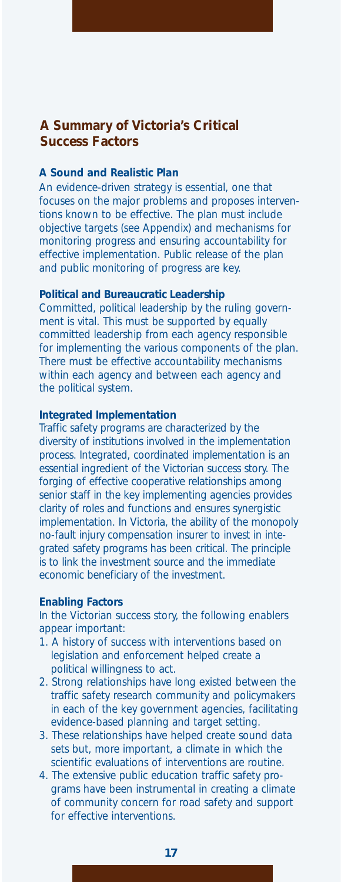### **A Summary of Victoria's Critical Success Factors**

#### **A Sound and Realistic Plan**

An evidence-driven strategy is essential, one that focuses on the major problems and proposes interventions known to be effective. The plan must include objective targets (see Appendix) and mechanisms for monitoring progress and ensuring accountability for effective implementation. Public release of the plan and public monitoring of progress are key.

#### **Political and Bureaucratic Leadership**

Committed, political leadership by the ruling government is vital. This must be supported by equally committed leadership from each agency responsible for implementing the various components of the plan. There must be effective accountability mechanisms within each agency and between each agency and the political system.

#### **Integrated Implementation**

Traffic safety programs are characterized by the diversity of institutions involved in the implementation process. Integrated, coordinated implementation is an essential ingredient of the Victorian success story. The forging of effective cooperative relationships among senior staff in the key implementing agencies provides clarity of roles and functions and ensures synergistic implementation. In Victoria, the ability of the monopoly no-fault injury compensation insurer to invest in integrated safety programs has been critical. The principle is to link the investment source and the immediate economic beneficiary of the investment.

#### **Enabling Factors**

In the Victorian success story, the following enablers appear important:

- 1. A history of success with interventions based on legislation and enforcement helped create a political willingness to act.
- 2. Strong relationships have long existed between the traffic safety research community and policymakers in each of the key government agencies, facilitating evidence-based planning and target setting.
- 3. These relationships have helped create sound data sets but, more important, a climate in which the scientific evaluations of interventions are routine.
- 4. The extensive public education traffic safety programs have been instrumental in creating a climate of community concern for road safety and support for effective interventions.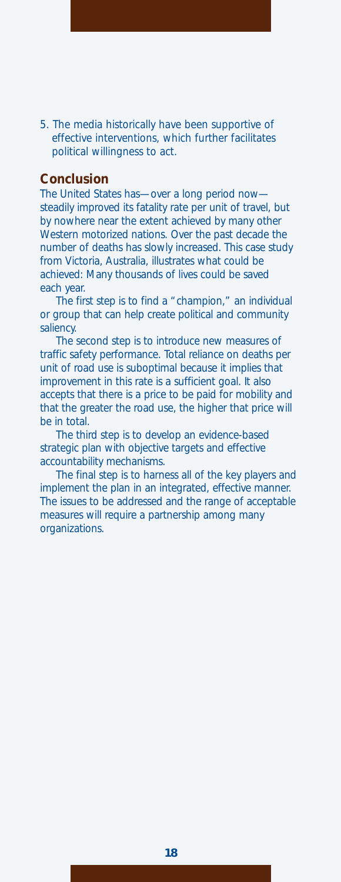5. The media historically have been supportive of effective interventions, which further facilitates political willingness to act.

#### **Conclusion**

The United States has—over a long period now steadily improved its fatality rate per unit of travel, but by nowhere near the extent achieved by many other Western motorized nations. Over the past decade the number of deaths has slowly increased. This case study from Victoria, Australia, illustrates what could be achieved: Many thousands of lives could be saved each year.

The first step is to find a "champion," an individual or group that can help create political and community saliency.

The second step is to introduce new measures of traffic safety performance. Total reliance on deaths per unit of road use is suboptimal because it implies that improvement in this rate is a sufficient goal. It also accepts that there is a price to be paid for mobility and that the greater the road use, the higher that price will be in total.

The third step is to develop an evidence-based strategic plan with objective targets and effective accountability mechanisms.

The final step is to harness all of the key players and implement the plan in an integrated, effective manner. The issues to be addressed and the range of acceptable measures will require a partnership among many organizations.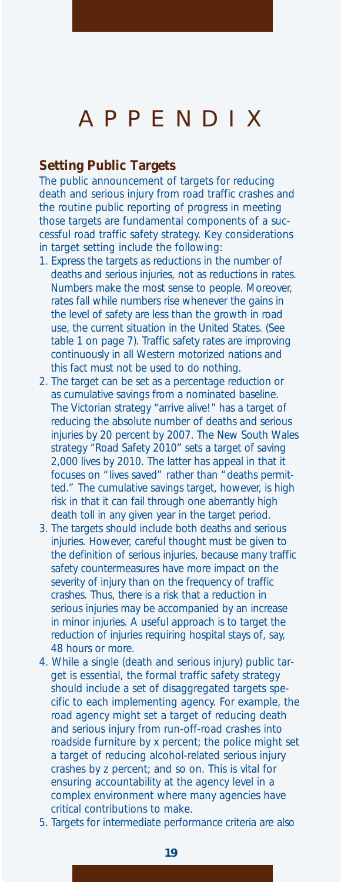## APPENDIX

#### **Setting Public Targets**

The public announcement of targets for reducing death and serious injury from road traffic crashes and the routine public reporting of progress in meeting those targets are fundamental components of a successful road traffic safety strategy. Key considerations in target setting include the following:

- 1. Express the targets as reductions in the number of deaths and serious injuries, not as reductions in rates. Numbers make the most sense to people. Moreover, rates fall while numbers rise whenever the gains in the level of safety are less than the growth in road use, the current situation in the United States. (See table 1 on page 7). Traffic safety rates are improving continuously in all Western motorized nations and this fact must not be used to do nothing.
- 2. The target can be set as a percentage reduction or as cumulative savings from a nominated baseline. The Victorian strategy *"arrive alive!"* has a target of reducing the absolute number of deaths and serious injuries by 20 percent by 2007. The New South Wales strategy *"Road Safety 2010"* sets a target of saving 2,000 lives by 2010. The latter has appeal in that it focuses on "lives saved" rather than "deaths permitted." The cumulative savings target, however, is high risk in that it can fail through one aberrantly high death toll in any given year in the target period.
- 3. The targets should include both deaths and serious injuries. However, careful thought must be given to the definition of serious injuries, because many traffic safety countermeasures have more impact on the severity of injury than on the frequency of traffic crashes. Thus, there is a risk that a reduction in serious injuries may be accompanied by an increase in minor injuries. A useful approach is to target the reduction of injuries requiring hospital stays of, say, 48 hours or more.
- 4. While a single (death and serious injury) public target is essential, the formal traffic safety strategy should include a set of disaggregated targets specific to each implementing agency. For example, the road agency might set a target of reducing death and serious injury from run-off-road crashes into roadside furniture by x percent; the police might set a target of reducing alcohol-related serious injury crashes by z percent; and so on. This is vital for ensuring accountability at the agency level in a complex environment where many agencies have critical contributions to make.
- 5. Targets for intermediate performance criteria are also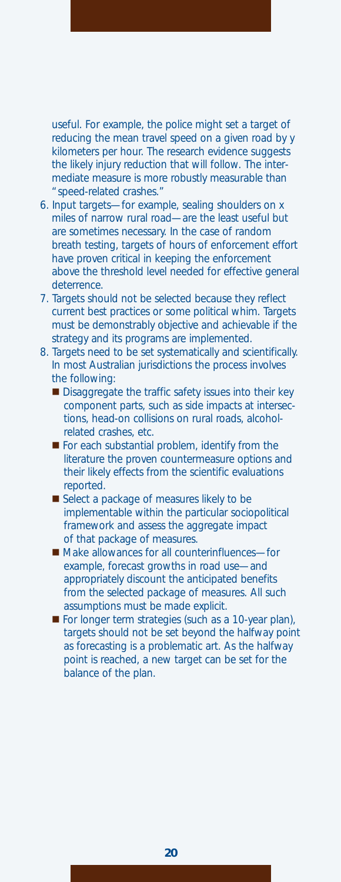useful. For example, the police might set a target of reducing the mean travel speed on a given road by y kilometers per hour. The research evidence suggests the likely injury reduction that will follow. The intermediate measure is more robustly measurable than "speed-related crashes."

- 6. Input targets—for example, sealing shoulders on x miles of narrow rural road—are the least useful but are sometimes necessary. In the case of random breath testing, targets of hours of enforcement effort have proven critical in keeping the enforcement above the threshold level needed for effective general deterrence.
- 7. Targets should not be selected because they reflect current best practices or some political whim. Targets must be demonstrably objective and achievable if the strategy and its programs are implemented.
- 8. Targets need to be set systematically and scientifically. In most Australian jurisdictions the process involves the following:
	- Disaggregate the traffic safety issues into their key component parts, such as side impacts at intersections, head-on collisions on rural roads, alcoholrelated crashes, etc.
	- For each substantial problem, identify from the literature the proven countermeasure options and their likely effects from the scientific evaluations reported.
	- Select a package of measures likely to be implementable within the particular sociopolitical framework and assess the aggregate impact of that package of measures.
	- Make allowances for all counterinfluences-for example, forecast growths in road use—and appropriately discount the anticipated benefits from the selected package of measures. All such assumptions must be made explicit.
	- For longer term strategies (such as a 10-year plan), targets should not be set beyond the halfway point as forecasting is a problematic art. As the halfway point is reached, a new target can be set for the balance of the plan.